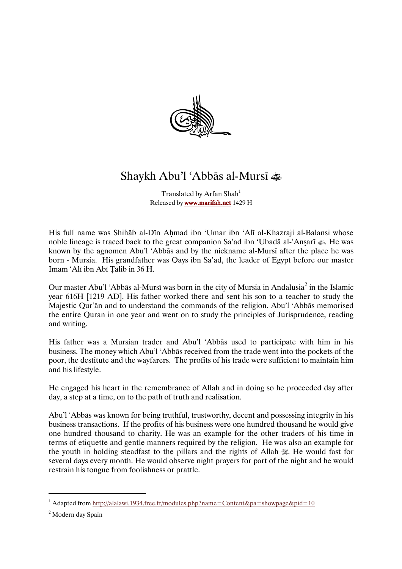

## ShaykhAbu'l'Abbāsal-Mursī-

Translated by Arfan Shah<sup>1</sup> Released by www.marifah.net 1429 H

His full name was Shihāb al-Dīn Ahmad ibn 'Umar ibn 'Alī al-Khazraji al-Balansi whose noble lineage is traced back to the great companion Sa'ad ibn 'Ubadā al-'Anṣarī  $\clubsuit$ . He was known by the agnomen Abu'l 'Abbās and by the nickname al-Mursī after the place he was born - Mursia. His grandfather was Qays ibn Sa'ad, the leader of Egypt before our master Imam 'Alī ibn Abī Tālib in 36 H.

Our master Abu'l 'Abbās al-Mursī was born in the city of Mursia in Andalusia<sup>2</sup> in the Islamic year 616H [1219 AD]. His father worked there and sent his son to a teacher to study the Majestic Qur'ān and to understand the commands of the religion. Abu'l 'Abbās memorised the entire Quran in one year and went on to study the principles of Jurisprudence, reading andwriting.

His father was a Mursian trader and Abu'l 'Abbās used to participate with him in his business. The money which Abu'l 'Abbās received from the trade went into the pockets of the poor, the destitute and the wayfarers. The profits of his trade were sufficient to maintain him and his lifestyle.

He engaged his heart in the remembrance of Allah and in doing so he proceeded day after day, a step at a time, on to the path of truth and realisation.

Abu'l 'Abbās was known for being truthful, trustworthy, decent and possessing integrity in his business transactions. If the profits of his business were one hundred thousand he would give one hundred thousand to charity. He was an examplefor the other traders of his time in terms of etiquette and gentle manners required by the religion. He was also an example for the youth in holding steadfast to the pillars and the rights of Allah . He would fast for several days every month. He would observe night prayers for part of the night and he would restrain his tongue from foolishness or prattle.

 $\overline{a}$ 

<sup>&</sup>lt;sup>1</sup> Adapted from http://alalawi.1934.free.fr/modules.php?name=Content&pa=showpage&pid=10

<sup>&</sup>lt;sup>2</sup> Modern day Spain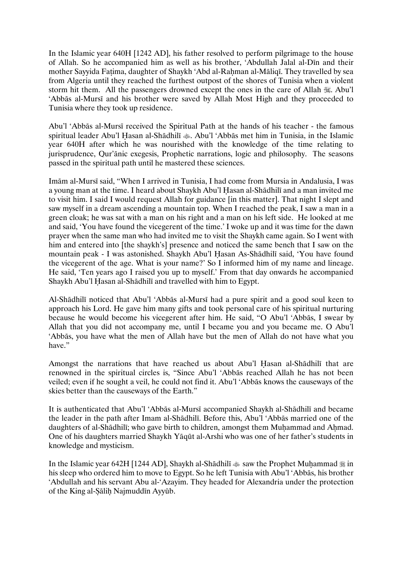In the Islamic year 640H [1242 AD], his father resolved to perform pilgrimage to the house of Allah. So he accompanied him as well as his brother, 'Abdullah Jalal al-Dīn and their mother Sayyida Fatima, daughter of Shaykh 'Abd al-Rahman al-Māliqī. They travelled by sea from Algeria until they reached the furthest outpost of the shores of Tunisia when a violent storm hit them. All the passengers drowned except the ones in the care of Allah.  $\mathcal{F}$ . Abu'l 'Abbās al-Mursī and his brother were saved by Allah Most High and they proceeded to Tunisia where they took up residence.

Abu'l 'Abbās al-Mursī received the Spiritual Path at the hands of his teacher - the famous spiritual leader Abu'l Ḥasan al-Shādhilī <a>. Abu'l 'Abbās met him in Tunisia, in the Islamic year 640H after which he was nourished with the knowledge of the time relating to jurisprudence, Qur'ānic exegesis, Prophetic narrations, logic and philosophy. The seasons passed in the spiritual path until he mastered these sciences.

Imām al-Mursī said, "When I arrived in Tunisia, I had come from Mursia in Andalusia, I was a young man at the time. I heard about Shaykh Abu'l Hasan al-Shādhilī and a man invited me to visit him. I said I would request Allah for guidance [in this matter]. That night I slept and saw myself in a dream ascending a mountain top. When I reached the peak, I saw a man in a green cloak; he was sat with a man on his right and a man on his left side. He looked at me and said, 'You have found the vicegerent of the time.' I woke up and it was time for the dawn prayer when the same man who had invited me to visit the Shaykh came again. So I went with him and entered into [the shaykh's] presence and noticed the same bench that I saw on the mountain peak - I was astonished. Shaykh Abu'l Hasan As-Shādhilī said, 'You have found the vicegerent of the age. What is your name?' So I informed him of my name and lineage. He said, 'Ten years ago I raised you up to myself.' From that day onwards he accompanied Shaykh Abu'l Hasan al-Shādhilī and travelled with him to Egypt.

Al-Shādhilī noticed that Abu'l 'Abbās al-Mursī had a pure spirit and a good soul keen to approach his Lord. He gave him many gifts and took personal care of his spiritual nurturing because he would become his vicegerent after him. He said, "O Abu'l 'Abbās, I swear by Allah that you did not accompany me, until I became you and you became me. O Abu'l 'Abbās, you have what the men of Allah have but the men of Allah do not have what you have."

Amongst the narrations that have reached us about Abu'l Hasan al-Shādhilī that are renowned in the spiritual circles is, "Since Abu'l 'Abbās reached Allah he has not been veiled; even if he sought a veil, he could not find it. Abu'l 'Abbās knows the causeways of the skies better than the causeways of the Earth."

It is authenticated that Abu'l 'Abbās al-Mursī accompanied Shaykh al-Shādhilī and became the leader in the path after Imam al-Shādhilī. Before this, Abu'l 'Abbās married one of the daughters of al-Shādhilī; who gave birth to children, amongst them Muhammad and Ahmad. One of his daughters married Shaykh Yāqūt al-Arshi who was one of her father's students in knowledge and mysticism.

In the Islamic year 642H [1244 AD], Shaykh al-Shādhilī  $\hat{\ast}$  saw the Prophet Muḥammad  $\hat{\ast}$  in his sleep who ordered him to move to Egypt. So he left Tunisia with Abu'l 'Abbās, his brother 'Abdullah and his servant Abu al-'Azayim. They headed for Alexandria under the protection of the King al-Sālih Najmuddīn Ayyūb.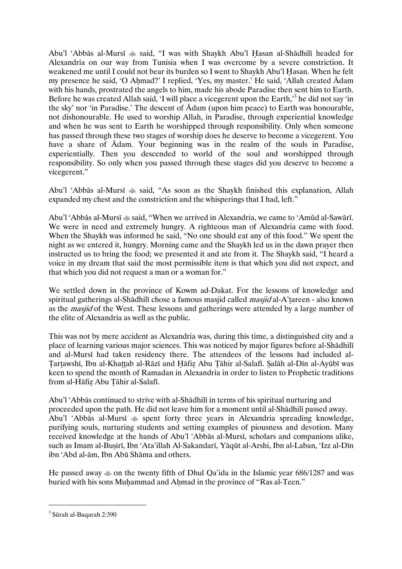Abu'l 'Abbās al-Mursī  $*$  said, "I was with Shaykh Abu'l Hasan al-Shādhilī headed for Alexandria on our way from Tunisia when I was overcome by a severe constriction. It weakened me until I could not bear its burden so I went to Shaykh Abu'l Hasan. When he felt my presence he said, 'O Ahmad?' I replied, 'Yes, my master.' He said, 'Allah created Ādam with his hands, prostrated the angels to him, made his abode Paradise then sent him to Earth. Before he was created Allah said, 'I will place a vicegerent upon the Earth,<sup>3</sup> he did not say 'in the sky' nor 'in Paradise.' The descent of  $\bar{A}$ dam (upon him peace) to Earth was honourable, not dishonourable. He used to worship Allah, in Paradise, through experiential knowledge and when he was sent to Earth he worshipped through responsibility. Only when someone has passed through these two stages of worship does he deserve to become a vicegerent. You have a share of Ādam. Your beginning was in the realm of the souls in Paradise, experientially. Then you descended to world of the soul and worshipped through responsibility. So onlywhen you passed through these stages did you deserve to become a vicegerent."

Abu'l 'Abbās al-Mursī  $*$  said, "As soon as the Shaykh finished this explanation, Allah expanded my chest and the constriction and the whisperings that I had, left."

Abu'l 'Abbās al-Mursī  $\triangleq$  said, "When we arrived in Alexandria, we came to 'Amūd al-Sawārī. We were in need and extremely hungry. A righteous man of Alexandria came with food. When the Shaykh was informed he said, "No one should eat any of this food." We spent the night as we entered it, hungry. Morning came and the Shaykh led us in the dawn prayer then instructed us to bring the food; we presented it and ate from it. The Shaykh said, "I heard a voice in my dream that said the most permissible item is that which you did not expect, and that which you did not request a man or a woman for."

We settled down in the province of Kowm ad-Dakat. For the lessons of knowledge and spiritual gatherings al-Shādhilī chose a famous masjid called *masjid* al-A'tareen - also known as the *masjid* of the West. These lessons and gatherings were attended by a large number of the elite of Alexandria as well as the public.

This was not by mere accident as Alexandria was, during this time, a distinguished city and a place of learning various major sciences. This was noticed by major figures before al-Shādhilī and al-Mursī had taken residency there. The attendees of the lessons had included al-Tartawshī, Ibn al-Khattab al-Rāzī and Hāfiz Abu Tāhir al-Salafī. Salāh al-Dīn al-Ayūbī was keen to spend the month of Ramadan in Alexandria in order to listen to Prophetic traditions from al-Hāfiz Abu Tāhir al-Salafī.

Abu'l 'Abbās continued to strive with al-Shādhilī in terms of his spiritual nurturing and proceeded upon the path. He did not leave him for a moment until al-Shādhilī passed away. Abu'l 'Abbās al-Mursī  $*$  spent forty three years in Alexandria spreading knowledge, purifying souls, nurturing students and setting examples of piousness and devotion. Many received knowledge at the hands of Abu'l 'Abbās al-Mursī, scholars and companions alike, such as Imam al-Busirī, Ibn 'Ata'illah Al-Sakandarī, Yāqūt al-Arshi, Ibn al-Laban, 'Izz al-Dīn ibn 'Abd al-ām, Ibn Abū Shāma and others.

He passed away  $\text{Im}$  on the twenty fifth of Dhul Qa'ida in the Islamic year 686/1287 and was buried with his sons Muhammad and Ahmad in the province of "Ras al-Teen."

l

 $^3$  Sūrah al-Baqarah 2:390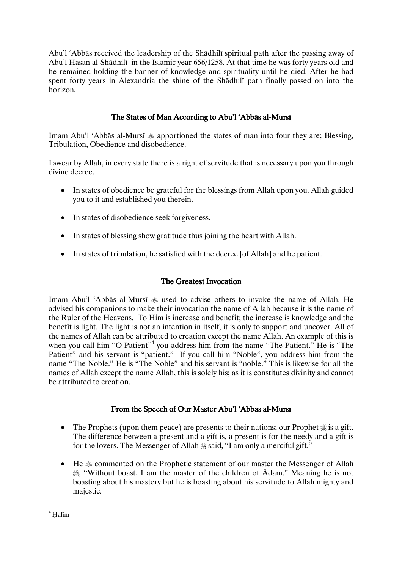Abu'l 'Abbās received the leadership of the Shādhilī spiritual path after the passing away of Abu'l Hasan al-Shādhilī in the Islamic year 656/1258. At that time he was forty years old and he remained holding the banner of knowledge and spirituality until he died. After he had spent forty years in Alexandria the shine of the Shādhilī path finally passed on into the horizon.

## The States of Man According to Abu'l 'Abbās al-Mursī

Imam Abu'l 'Abbās al-Mursī  $\triangleq$  apportioned the states of man into four they are; Blessing, Tribulation, Obedience and disobedience.

I swear by Allah, in every state there is a right of servitude that is necessary upon you through divine decree.

- In states of obedience be grateful for the blessings from Allah upon you. Allah guided you to it and established you therein.
- In states of disobedience seek forgiveness.
- In states of blessing show gratitude thus joining the heart with Allah.
- In states of tribulation, be satisfied with the decree [of Allah] and be patient.

## The Greatest Invocation

Imam Abu'l 'Abbās al-Mursī  $*$  used to advise others to invoke the name of Allah. He advised his companions to make their invocation the name of Allah because it is the name of the Ruler of the Heavens. To Him is increase and benefit; the increase is knowledge and the benefit is light. The light is not an intention in itself, it is only to support and uncover. All of the names of Allah can be attributed to creation except the name Allah. An example of this is when you call him "O Patient"<sup>4</sup> you address him from the name "The Patient." He is "The Patient" and his servant is "patient." If you call him "Noble", you address him from the name "The Noble." He is "The Noble" and his servant is "noble." This is likewise for all the names of Allah except the name Allah, this is solely his; as it is constitutes divinity and cannot be attributed to creation.

## From the Speech of Our Master Abu'l 'Abbās al-Mursī

- The Prophets (upon them peace) are presents to their nations; our Prophet  $\frac{1}{26}$  is a gift. The difference between a present and a gift is, a present is for the needy and a gift is for the lovers. The Messenger of Allah  $\frac{1}{26}$  said, "I am only a merciful gift."
- He  $*$  commented on the Prophetic statement of our master the Messenger of Allah , "Without boast, I am the master of the children of Ādam." Meaning he is not boasting about his mastery but he is boasting about his servitude to Allah mighty and majestic.

l

 $^4$  Ḥalīm